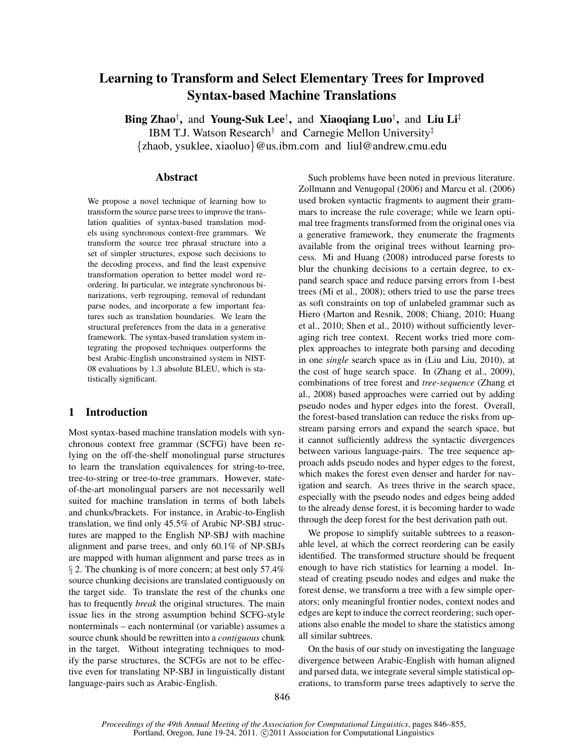# Learning to Transform and Select Elementary Trees for Improved Syntax-based Machine Translations

Bing Zhao<sup>†</sup>, and Young-Suk Lee<sup>†</sup>, and Xiaoqiang Luo<sup>†</sup>, and Liu Li<sup>‡</sup> IBM T.J. Watson Research<sup>†</sup> and Carnegie Mellon University<sup>‡</sup> {zhaob, ysuklee, xiaoluo}@us.ibm.com and liul@andrew.cmu.edu

## Abstract

We propose a novel technique of learning how to transform the source parse trees to improve the translation qualities of syntax-based translation models using synchronous context-free grammars. We transform the source tree phrasal structure into a set of simpler structures, expose such decisions to the decoding process, and find the least expensive transformation operation to better model word reordering. In particular, we integrate synchronous binarizations, verb regrouping, removal of redundant parse nodes, and incorporate a few important features such as translation boundaries. We learn the structural preferences from the data in a generative framework. The syntax-based translation system integrating the proposed techniques outperforms the best Arabic-English unconstrained system in NIST-08 evaluations by 1.3 absolute BLEU, which is statistically significant.

## 1 Introduction

Most syntax-based machine translation models with synchronous context free grammar (SCFG) have been relying on the off-the-shelf monolingual parse structures to learn the translation equivalences for string-to-tree, tree-to-string or tree-to-tree grammars. However, stateof-the-art monolingual parsers are not necessarily well suited for machine translation in terms of both labels and chunks/brackets. For instance, in Arabic-to-English translation, we find only 45.5% of Arabic NP-SBJ structures are mapped to the English NP-SBJ with machine alignment and parse trees, and only 60.1% of NP-SBJs are mapped with human alignment and parse trees as in § 2. The chunking is of more concern; at best only 57.4% source chunking decisions are translated contiguously on the target side. To translate the rest of the chunks one has to frequently *break* the original structures. The main issue lies in the strong assumption behind SCFG-style nonterminals – each nonterminal (or variable) assumes a source chunk should be rewritten into a *contiguous* chunk in the target. Without integrating techniques to modify the parse structures, the SCFGs are not to be effective even for translating NP-SBJ in linguistically distant language-pairs such as Arabic-English.

Such problems have been noted in previous literature. Zollmann and Venugopal (2006) and Marcu et al. (2006) used broken syntactic fragments to augment their grammars to increase the rule coverage; while we learn optimal tree fragments transformed from the original ones via a generative framework, they enumerate the fragments available from the original trees without learning process. Mi and Huang (2008) introduced parse forests to blur the chunking decisions to a certain degree, to expand search space and reduce parsing errors from 1-best trees (Mi et al., 2008); others tried to use the parse trees as soft constraints on top of unlabeled grammar such as Hiero (Marton and Resnik, 2008; Chiang, 2010; Huang et al., 2010; Shen et al., 2010) without sufficiently leveraging rich tree context. Recent works tried more complex approaches to integrate both parsing and decoding in one *single* search space as in (Liu and Liu, 2010), at the cost of huge search space. In (Zhang et al., 2009), combinations of tree forest and *tree-sequence* (Zhang et al., 2008) based approaches were carried out by adding pseudo nodes and hyper edges into the forest. Overall, the forest-based translation can reduce the risks from upstream parsing errors and expand the search space, but it cannot sufficiently address the syntactic divergences between various language-pairs. The tree sequence approach adds pseudo nodes and hyper edges to the forest, which makes the forest even denser and harder for navigation and search. As trees thrive in the search space, especially with the pseudo nodes and edges being added to the already dense forest, it is becoming harder to wade through the deep forest for the best derivation path out.

We propose to simplify suitable subtrees to a reasonable level, at which the correct reordering can be easily identified. The transformed structure should be frequent enough to have rich statistics for learning a model. Instead of creating pseudo nodes and edges and make the forest dense, we transform a tree with a few simple operators; only meaningful frontier nodes, context nodes and edges are kept to induce the correct reordering; such operations also enable the model to share the statistics among all similar subtrees.

On the basis of our study on investigating the language divergence between Arabic-English with human aligned and parsed data, we integrate several simple statistical operations, to transform parse trees adaptively to serve the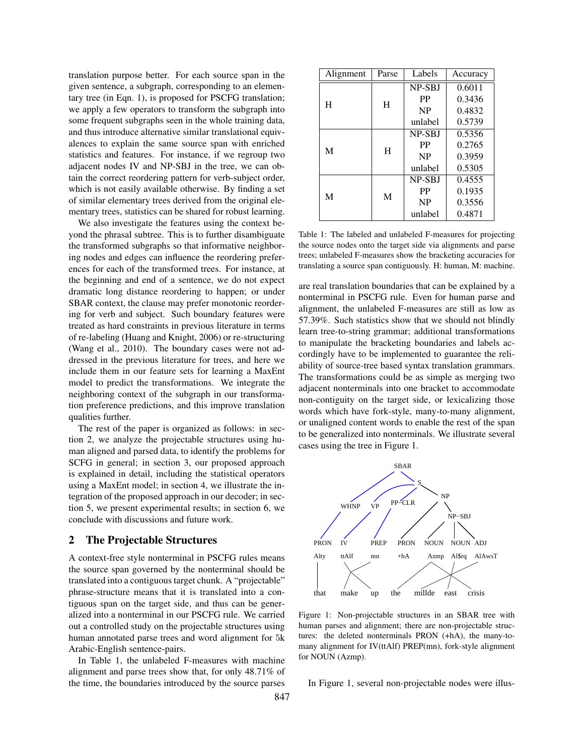translation purpose better. For each source span in the given sentence, a subgraph, corresponding to an elementary tree (in Eqn. 1), is proposed for PSCFG translation; we apply a few operators to transform the subgraph into some frequent subgraphs seen in the whole training data, and thus introduce alternative similar translational equivalences to explain the same source span with enriched statistics and features. For instance, if we regroup two adjacent nodes IV and NP-SBJ in the tree, we can obtain the correct reordering pattern for verb-subject order, which is not easily available otherwise. By finding a set of similar elementary trees derived from the original elementary trees, statistics can be shared for robust learning.

We also investigate the features using the context beyond the phrasal subtree. This is to further disambiguate the transformed subgraphs so that informative neighboring nodes and edges can influence the reordering preferences for each of the transformed trees. For instance, at the beginning and end of a sentence, we do not expect dramatic long distance reordering to happen; or under SBAR context, the clause may prefer monotonic reordering for verb and subject. Such boundary features were treated as hard constraints in previous literature in terms of re-labeling (Huang and Knight, 2006) or re-structuring (Wang et al., 2010). The boundary cases were not addressed in the previous literature for trees, and here we include them in our feature sets for learning a MaxEnt model to predict the transformations. We integrate the neighboring context of the subgraph in our transformation preference predictions, and this improve translation qualities further.

The rest of the paper is organized as follows: in section 2, we analyze the projectable structures using human aligned and parsed data, to identify the problems for SCFG in general; in section 3, our proposed approach is explained in detail, including the statistical operators using a MaxEnt model; in section 4, we illustrate the integration of the proposed approach in our decoder; in section 5, we present experimental results; in section 6, we conclude with discussions and future work.

## 2 The Projectable Structures

A context-free style nonterminal in PSCFG rules means the source span governed by the nonterminal should be translated into a contiguous target chunk. A "projectable" phrase-structure means that it is translated into a contiguous span on the target side, and thus can be generalized into a nonterminal in our PSCFG rule. We carried out a controlled study on the projectable structures using human annotated parse trees and word alignment for 5k Arabic-English sentence-pairs.

In Table 1, the unlabeled F-measures with machine alignment and parse trees show that, for only 48.71% of the time, the boundaries introduced by the source parses

| Alignment | Parse | Labels        | Accuracy |
|-----------|-------|---------------|----------|
|           |       | NP-SBJ        | 0.6011   |
| H         | H     | PP            | 0.3436   |
|           |       | <b>NP</b>     | 0.4832   |
|           |       | unlabel       | 0.5739   |
|           |       | NP-SBJ        | 0.5356   |
| M         | H     | PP            | 0.2765   |
|           |       | <b>NP</b>     | 0.3959   |
|           |       | unlabel       | 0.5305   |
| M         |       | <b>NP-SBI</b> | 0.4555   |
|           | M     | <b>PP</b>     | 0.1935   |
|           |       | <b>NP</b>     | 0.3556   |
|           |       | unlabel       | 0.4871   |

Table 1: The labeled and unlabeled F-measures for projecting the source nodes onto the target side via alignments and parse trees; unlabeled F-measures show the bracketing accuracies for translating a source span contiguously. H: human, M: machine.

are real translation boundaries that can be explained by a nonterminal in PSCFG rule. Even for human parse and alignment, the unlabeled F-measures are still as low as 57.39%. Such statistics show that we should not blindly learn tree-to-string grammar; additional transformations to manipulate the bracketing boundaries and labels accordingly have to be implemented to guarantee the reliability of source-tree based syntax translation grammars. The transformations could be as simple as merging two adjacent nonterminals into one bracket to accommodate non-contiguity on the target side, or lexicalizing those words which have fork-style, many-to-many alignment, or unaligned content words to enable the rest of the span to be generalized into nonterminals. We illustrate several cases using the tree in Figure 1.



Figure 1: Non-projectable structures in an SBAR tree with human parses and alignment; there are non-projectable structures: the deleted nonterminals PRON (+hA), the many-tomany alignment for IV(ttAlf) PREP(mn), fork-style alignment for NOUN (Azmp).

In Figure 1, several non-projectable nodes were illus-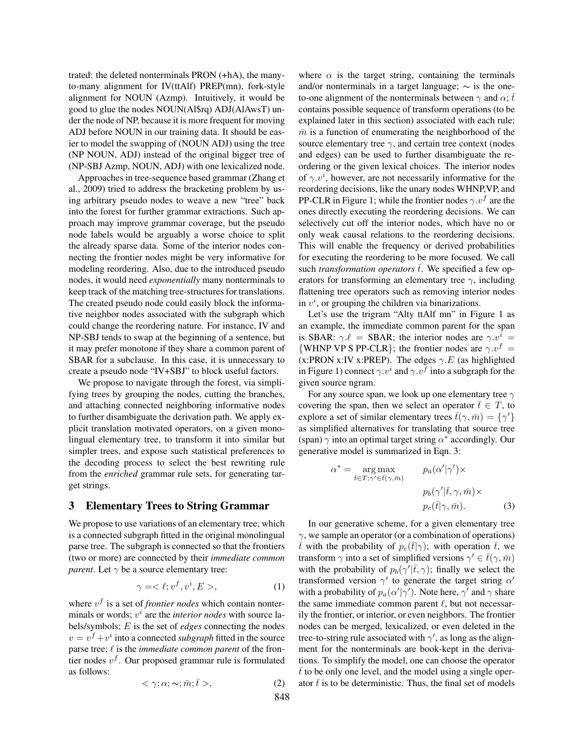trated: the deleted nonterminals PRON (+hA), the manyto-many alignment for IV(ttAlf) PREP(mn), fork-style alignment for NOUN (Azmp). Intuitively, it would be good to glue the nodes NOUN(Al\$rq) ADJ(AlAwsT) under the node of NP, because it is more frequent for moving ADJ before NOUN in our training data. It should be easier to model the swapping of (NOUN ADJ) using the tree (NP NOUN, ADJ) instead of the original bigger tree of (NP-SBJ Azmp, NOUN, ADJ) with one lexicalized node.

Approaches in tree-sequence based grammar (Zhang et al., 2009) tried to address the bracketing problem by using arbitrary pseudo nodes to weave a new "tree" back into the forest for further grammar extractions. Such approach may improve grammar coverage, but the pseudo node labels would be arguably a worse choice to split the already sparse data. Some of the interior nodes connecting the frontier nodes might be very informative for modeling reordering. Also, due to the introduced pseudo nodes, it would need *exponentially* many nonterminals to keep track of the matching tree-structures for translations. The created pseudo node could easily block the informative neighbor nodes associated with the subgraph which could change the reordering nature. For instance, IV and NP-SBJ tends to swap at the beginning of a sentence, but it may prefer monotone if they share a common parent of SBAR for a subclause. In this case, it is unnecessary to create a pseudo node "IV+SBJ" to block useful factors.

We propose to navigate through the forest, via simplifying trees by grouping the nodes, cutting the branches, and attaching connected neighboring informative nodes to further disambiguate the derivation path. We apply explicit translation motivated operators, on a given monolingual elementary tree, to transform it into similar but simpler trees, and expose such statistical preferences to the decoding process to select the best rewriting rule from the *enriched* grammar rule sets, for generating target strings.

#### 3 Elementary Trees to String Grammar

We propose to use variations of an elementary tree, which is a connected subgraph fitted in the original monolingual parse tree. The subgraph is connected so that the frontiers (two or more) are connected by their *immediate common parent*. Let  $\gamma$  be a source elementary tree:

$$
\gamma = \langle \ell; v^f, v^i, E \rangle, \tag{1}
$$

where  $v<sup>f</sup>$  is a set of *frontier nodes* which contain nonterminals or words;  $v^i$  are the *interior nodes* with source labels/symbols; E is the set of *edges* connecting the nodes  $v = v^f + v^i$  into a connected *subgraph* fitted in the source parse tree;  $\ell$  is the *immediate common parent* of the frontier nodes  $v<sup>f</sup>$ . Our proposed grammar rule is formulated as follows:

$$
\langle \gamma; \alpha; \sim; \bar{m}; \bar{t} \rangle, \tag{2}
$$

where  $\alpha$  is the target string, containing the terminals and/or nonterminals in a target language;  $\sim$  is the oneto-one alignment of the nonterminals between  $\gamma$  and  $\alpha$ ; t contains possible sequence of transform operations (to be explained later in this section) associated with each rule;  $\bar{m}$  is a function of enumerating the neighborhood of the source elementary tree  $\gamma$ , and certain tree context (nodes and edges) can be used to further disambiguate the reordering or the given lexical choices. The interior nodes of  $\gamma.v^i$ , however, are not necessarily informative for the reordering decisions, like the unary nodes WHNP,VP, and PP-CLR in Figure 1; while the frontier nodes  $\gamma.v^f$  are the ones directly executing the reordering decisions. We can selectively cut off the interior nodes, which have no or only weak causal relations to the reordering decisions. This will enable the frequency or derived probabilities for executing the reordering to be more focused. We call such *transformation operators*  $\overline{t}$ . We specified a few operators for transforming an elementary tree  $\gamma$ , including flattening tree operators such as removing interior nodes in  $v^i$ , or grouping the children via binarizations.

Let's use the trigram "Alty ttAlf mn" in Figure 1 as an example, the immediate common parent for the span is SBAR:  $\gamma \ell =$  SBAR; the interior nodes are  $\gamma \nu^i =$ {WHNP VP S PP-CLR}; the frontier nodes are  $\gamma.v^f$  = (x:PRON x:IV x:PREP). The edges  $\gamma.E$  (as highlighted in Figure 1) connect  $\gamma \cdot v^i$  and  $\gamma \cdot v^f$  into a subgraph for the given source ngram.

For any source span, we look up one elementary tree  $\gamma$ covering the span, then we select an operator  $\bar{t} \in T$ , to explore a set of similar elementary trees  $\bar{t}(\gamma, \bar{m}) = {\gamma'}$ as simplified alternatives for translating that source tree (span)  $\gamma$  into an optimal target string  $\alpha^*$  accordingly. Our generative model is summarized in Eqn. 3:

$$
\alpha^* = \underset{\bar{t} \in T; \gamma' \in \bar{t}(\gamma, \bar{m})}{\arg \max} \qquad p_a(\alpha'|\gamma') \times
$$

$$
p_b(\gamma'|\bar{t}, \gamma, \bar{m}) \times
$$

$$
p_c(\bar{t}|\gamma, \bar{m}). \tag{3}
$$

In our generative scheme, for a given elementary tree  $\gamma$ , we sample an operator (or a combination of operations)  $\bar{t}$  with the probability of  $p_c(\bar{t}|\gamma)$ ; with operation  $\bar{t}$ , we transform  $\gamma$  into a set of simplified versions  $\gamma' \in \bar{t}(\gamma, \bar{m})$ with the probability of  $p_b(\gamma'|\bar{t}, \gamma)$ ; finally we select the transformed version  $\gamma'$  to generate the target string  $\alpha'$ with a probability of  $p_a(\alpha'|\gamma')$ . Note here,  $\gamma'$  and  $\gamma$  share the same immediate common parent  $\ell$ , but not necessarily the frontier, or interior, or even neighbors. The frontier nodes can be merged, lexicalized, or even deleted in the tree-to-string rule associated with  $\gamma'$ , as long as the alignment for the nonterminals are book-kept in the derivations. To simplify the model, one can choose the operator  $\bar{t}$  to be only one level, and the model using a single operator  $\bar{t}$  is to be deterministic. Thus, the final set of models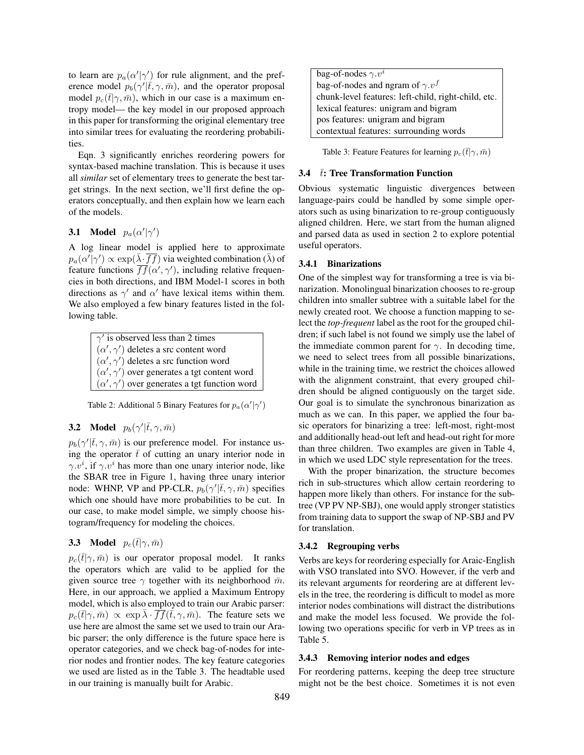to learn are  $p_a(\alpha'|\gamma')$  for rule alignment, and the preference model  $p_b(\gamma'|\bar{t}, \gamma, \bar{m})$ , and the operator proposal model  $p_c(\bar{t}|\gamma,\bar{m})$ , which in our case is a maximum entropy model— the key model in our proposed approach in this paper for transforming the original elementary tree into similar trees for evaluating the reordering probabilities.

Eqn. 3 significantly enriches reordering powers for syntax-based machine translation. This is because it uses all *similar* set of elementary trees to generate the best target strings. In the next section, we'll first define the operators conceptually, and then explain how we learn each of the models.

## **3.1** Model  $p_a(\alpha'|\gamma')$

A log linear model is applied here to approximate  $p_a(\alpha'|\gamma') \propto \exp(\bar{\lambda} \cdot \overline{ff})$  via weighted combination  $(\bar{\lambda})$  of feature functions  $\overline{ff}(\alpha', \gamma')$ , including relative frequencies in both directions, and IBM Model-1 scores in both directions as  $\gamma'$  and  $\alpha'$  have lexical items within them. We also employed a few binary features listed in the following table.

| $\gamma'$ is observed less than 2 times                 |  |
|---------------------------------------------------------|--|
| $(\alpha', \gamma')$ deletes a src content word         |  |
| $(\alpha', \gamma')$ deletes a src function word        |  |
| $(\alpha', \gamma')$ over generates a tgt content word  |  |
| $(\alpha', \gamma')$ over generates a tgt function word |  |

Table 2: Additional 5 Binary Features for  $p_a(\alpha'|\gamma')$ 

## **3.2** Model  $p_b(\gamma'|\bar{t}, \gamma, \bar{m})$

 $p_b(\gamma'|\bar{t}, \gamma, \bar{m})$  is our preference model. For instance using the operator  $\bar{t}$  of cutting an unary interior node in  $\gamma \cdot v^i$ , if  $\gamma \cdot v^i$  has more than one unary interior node, like the SBAR tree in Figure 1, having three unary interior node: WHNP, VP and PP-CLR,  $p_b(\gamma'|\bar{t}, \gamma, \bar{m})$  specifies which one should have more probabilities to be cut. In our case, to make model simple, we simply choose histogram/frequency for modeling the choices.

### **3.3** Model  $p_c(\bar{t}|\gamma,\bar{m})$

 $p_c(\bar{t}|\gamma,\bar{m})$  is our operator proposal model. It ranks the operators which are valid to be applied for the given source tree  $\gamma$  together with its neighborhood  $\bar{m}$ . Here, in our approach, we applied a Maximum Entropy model, which is also employed to train our Arabic parser:  $p_c(\bar{t}|\gamma,\bar{m}) \propto \exp \bar{\lambda} \cdot \overline{ff}(\bar{t},\gamma,\bar{m})$ . The feature sets we use here are almost the same set we used to train our Arabic parser; the only difference is the future space here is operator categories, and we check bag-of-nodes for interior nodes and frontier nodes. The key feature categories we used are listed as in the Table 3. The headtable used in our training is manually built for Arabic.

| bag-of-nodes $\gamma.v^i$                           |
|-----------------------------------------------------|
| bag-of-nodes and ngram of $\gamma.v^f$              |
| chunk-level features: left-child, right-child, etc. |
| lexical features: unigram and bigram                |
| pos features: unigram and bigram                    |
| contextual features: surrounding words              |

Table 3: Feature Features for learning  $p_c(\bar{t}|\gamma,\bar{m})$ 

#### 3.4  $\bar{t}$ : Tree Transformation Function

Obvious systematic linguistic divergences between language-pairs could be handled by some simple operators such as using binarization to re-group contiguously aligned children. Here, we start from the human aligned and parsed data as used in section 2 to explore potential useful operators.

#### 3.4.1 Binarizations

One of the simplest way for transforming a tree is via binarization. Monolingual binarization chooses to re-group children into smaller subtree with a suitable label for the newly created root. We choose a function mapping to select the *top-frequent* label as the root for the grouped children; if such label is not found we simply use the label of the immediate common parent for  $\gamma$ . In decoding time, we need to select trees from all possible binarizations, while in the training time, we restrict the choices allowed with the alignment constraint, that every grouped children should be aligned contiguously on the target side. Our goal is to simulate the synchronous binarization as much as we can. In this paper, we applied the four basic operators for binarizing a tree: left-most, right-most and additionally head-out left and head-out right for more than three children. Two examples are given in Table 4, in which we used LDC style representation for the trees.

With the proper binarization, the structure becomes rich in sub-structures which allow certain reordering to happen more likely than others. For instance for the subtree (VP PV NP-SBJ), one would apply stronger statistics from training data to support the swap of NP-SBJ and PV for translation.

#### 3.4.2 Regrouping verbs

Verbs are keys for reordering especially for Araic-English with VSO translated into SVO. However, if the verb and its relevant arguments for reordering are at different levels in the tree, the reordering is difficult to model as more interior nodes combinations will distract the distributions and make the model less focused. We provide the following two operations specific for verb in VP trees as in Table 5.

#### 3.4.3 Removing interior nodes and edges

For reordering patterns, keeping the deep tree structure might not be the best choice. Sometimes it is not even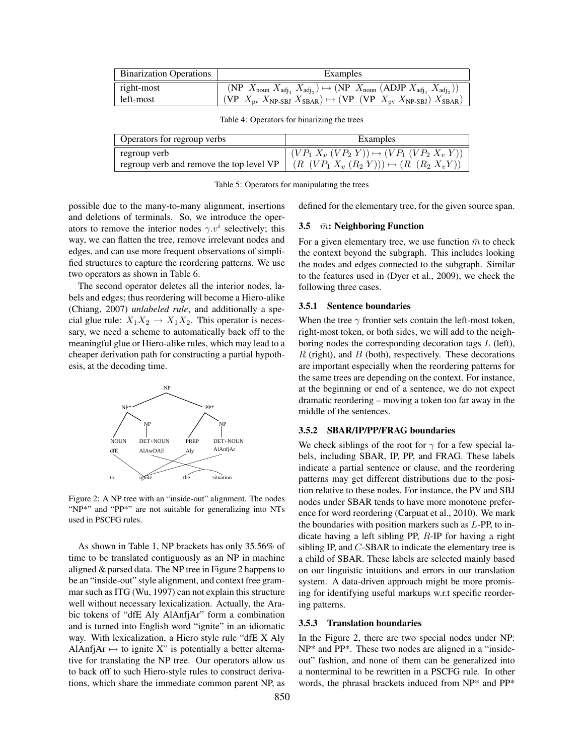| <b>Binarization Operations</b> | Examples                                                                                                                               |  |  |
|--------------------------------|----------------------------------------------------------------------------------------------------------------------------------------|--|--|
| right-most                     | (NP $X_{\text{noun}} X_{\text{adj}_1} X_{\text{adj}_2}$ ) $\mapsto$ (NP $X_{\text{noun}}$ (ADJP $X_{\text{adj}_1} X_{\text{adj}_2}$ )) |  |  |
| left-most                      | (VP $X_{\text{pv}} X_{\text{NP-SBJ}} X_{\text{SBAR}}$ ) $\mapsto$ (VP (VP $X_{\text{pv}} X_{\text{NP-SBJ}} X_{\text{SBAR}}$ )          |  |  |

Table 4: Operators for binarizing the trees

| Operators for regroup verbs                          | Examples                                          |  |  |
|------------------------------------------------------|---------------------------------------------------|--|--|
| regroup verb                                         | $(VP_1 X_v (VP_2 Y)) \mapsto (VP_1 (VP_2 X_v Y))$ |  |  |
| regroup verb and remove the top level $VP \parallel$ | $(R (VP_1 X_v (R_2 Y))) \mapsto (R (R_2 X_v Y))$  |  |  |

Table 5: Operators for manipulating the trees

possible due to the many-to-many alignment, insertions and deletions of terminals. So, we introduce the operators to remove the interior nodes  $\gamma.v^i$  selectively; this way, we can flatten the tree, remove irrelevant nodes and edges, and can use more frequent observations of simplified structures to capture the reordering patterns. We use two operators as shown in Table 6.

The second operator deletes all the interior nodes, labels and edges; thus reordering will become a Hiero-alike (Chiang, 2007) *unlabeled rule*, and additionally a special glue rule:  $X_1X_2 \rightarrow X_1X_2$ . This operator is necessary, we need a scheme to automatically back off to the meaningful glue or Hiero-alike rules, which may lead to a cheaper derivation path for constructing a partial hypothesis, at the decoding time.



Figure 2: A NP tree with an "inside-out" alignment. The nodes "NP\*" and "PP\*" are not suitable for generalizing into NTs used in PSCFG rules.

As shown in Table 1, NP brackets has only 35.56% of time to be translated contiguously as an NP in machine aligned & parsed data. The NP tree in Figure 2 happens to be an "inside-out" style alignment, and context free grammar such as ITG (Wu, 1997) can not explain this structure well without necessary lexicalization. Actually, the Arabic tokens of "dfE Aly AlAnfjAr" form a combination and is turned into English word "ignite" in an idiomatic way. With lexicalization, a Hiero style rule "dfE X Aly AlAnfjAr  $\mapsto$  to ignite X" is potentially a better alternative for translating the NP tree. Our operators allow us to back off to such Hiero-style rules to construct derivations, which share the immediate common parent NP, as defined for the elementary tree, for the given source span.

### 3.5  $\bar{m}$ : Neighboring Function

For a given elementary tree, we use function  $\bar{m}$  to check the context beyond the subgraph. This includes looking the nodes and edges connected to the subgraph. Similar to the features used in (Dyer et al., 2009), we check the following three cases.

#### 3.5.1 Sentence boundaries

When the tree  $\gamma$  frontier sets contain the left-most token, right-most token, or both sides, we will add to the neighboring nodes the corresponding decoration tags  $L$  (left),  $R$  (right), and  $B$  (both), respectively. These decorations are important especially when the reordering patterns for the same trees are depending on the context. For instance, at the beginning or end of a sentence, we do not expect dramatic reordering – moving a token too far away in the middle of the sentences.

## 3.5.2 SBAR/IP/PP/FRAG boundaries

We check siblings of the root for  $\gamma$  for a few special labels, including SBAR, IP, PP, and FRAG. These labels indicate a partial sentence or clause, and the reordering patterns may get different distributions due to the position relative to these nodes. For instance, the PV and SBJ nodes under SBAR tends to have more monotone preference for word reordering (Carpuat et al., 2010). We mark the boundaries with position markers such as L-PP, to indicate having a left sibling PP, R-IP for having a right sibling IP, and C-SBAR to indicate the elementary tree is a child of SBAR. These labels are selected mainly based on our linguistic intuitions and errors in our translation system. A data-driven approach might be more promising for identifying useful markups w.r.t specific reordering patterns.

#### 3.5.3 Translation boundaries

In the Figure 2, there are two special nodes under NP: NP\* and PP\*. These two nodes are aligned in a "insideout" fashion, and none of them can be generalized into a nonterminal to be rewritten in a PSCFG rule. In other words, the phrasal brackets induced from NP\* and PP\*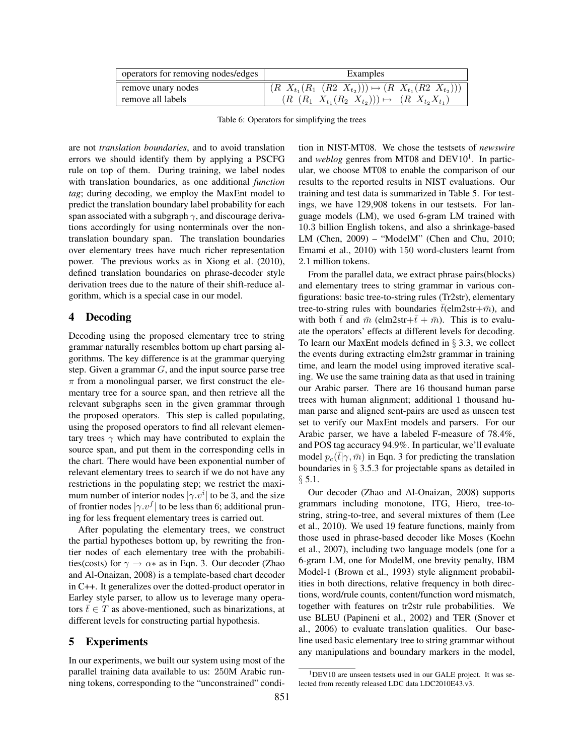| operators for removing nodes/edges | Examples                                                           |
|------------------------------------|--------------------------------------------------------------------|
| remove unary nodes                 | $(R X_{t_1}(R_1 (R_2 X_{t_2}))) \mapsto (R X_{t_1}(R_2 X_{t_2})))$ |
| remove all labels                  | $(R (R_1 X_{t_1}(R_2 X_{t_2}))) \mapsto (R X_{t_2} X_{t_1})$       |

Table 6: Operators for simplifying the trees

are not *translation boundaries*, and to avoid translation errors we should identify them by applying a PSCFG rule on top of them. During training, we label nodes with translation boundaries, as one additional *function tag*; during decoding, we employ the MaxEnt model to predict the translation boundary label probability for each span associated with a subgraph  $\gamma$ , and discourage derivations accordingly for using nonterminals over the nontranslation boundary span. The translation boundaries over elementary trees have much richer representation power. The previous works as in Xiong et al. (2010), defined translation boundaries on phrase-decoder style derivation trees due to the nature of their shift-reduce algorithm, which is a special case in our model.

## 4 Decoding

Decoding using the proposed elementary tree to string grammar naturally resembles bottom up chart parsing algorithms. The key difference is at the grammar querying step. Given a grammar  $G$ , and the input source parse tree  $\pi$  from a monolingual parser, we first construct the elementary tree for a source span, and then retrieve all the relevant subgraphs seen in the given grammar through the proposed operators. This step is called populating, using the proposed operators to find all relevant elementary trees  $\gamma$  which may have contributed to explain the source span, and put them in the corresponding cells in the chart. There would have been exponential number of relevant elementary trees to search if we do not have any restrictions in the populating step; we restrict the maximum number of interior nodes  $|\gamma v^i|$  to be 3, and the size of frontier nodes  $|\gamma.v^f|$  to be less than 6; additional pruning for less frequent elementary trees is carried out.

After populating the elementary trees, we construct the partial hypotheses bottom up, by rewriting the frontier nodes of each elementary tree with the probabilities(costs) for  $\gamma \to \alpha*$  as in Eqn. 3. Our decoder (Zhao and Al-Onaizan, 2008) is a template-based chart decoder in C++. It generalizes over the dotted-product operator in Earley style parser, to allow us to leverage many operators  $\bar{t} \in T$  as above-mentioned, such as binarizations, at different levels for constructing partial hypothesis.

## 5 Experiments

In our experiments, we built our system using most of the parallel training data available to us: 250M Arabic running tokens, corresponding to the "unconstrained" condition in NIST-MT08. We chose the testsets of *newswire* and *weblog* genres from MT08 and DEV10<sup>1</sup>. In particular, we choose MT08 to enable the comparison of our results to the reported results in NIST evaluations. Our training and test data is summarized in Table 5. For testings, we have 129,908 tokens in our testsets. For language models (LM), we used 6-gram LM trained with 10.3 billion English tokens, and also a shrinkage-based LM (Chen, 2009) – "ModelM" (Chen and Chu, 2010; Emami et al., 2010) with 150 word-clusters learnt from 2.1 million tokens.

From the parallel data, we extract phrase pairs(blocks) and elementary trees to string grammar in various configurations: basic tree-to-string rules (Tr2str), elementary tree-to-string rules with boundaries  $\bar{t}$ (elm2str+ $\bar{m}$ ), and with both  $\bar{t}$  and  $\bar{m}$  (elm2str+ $\bar{t}+\bar{m}$ ). This is to evaluate the operators' effects at different levels for decoding. To learn our MaxEnt models defined in § 3.3, we collect the events during extracting elm2str grammar in training time, and learn the model using improved iterative scaling. We use the same training data as that used in training our Arabic parser. There are 16 thousand human parse trees with human alignment; additional 1 thousand human parse and aligned sent-pairs are used as unseen test set to verify our MaxEnt models and parsers. For our Arabic parser, we have a labeled F-measure of 78.4%, and POS tag accuracy 94.9%. In particular, we'll evaluate model  $p_c(\bar{t}|\gamma,\bar{m})$  in Eqn. 3 for predicting the translation boundaries in § 3.5.3 for projectable spans as detailed in  $§ 5.1.$ 

Our decoder (Zhao and Al-Onaizan, 2008) supports grammars including monotone, ITG, Hiero, tree-tostring, string-to-tree, and several mixtures of them (Lee et al., 2010). We used 19 feature functions, mainly from those used in phrase-based decoder like Moses (Koehn et al., 2007), including two language models (one for a 6-gram LM, one for ModelM, one brevity penalty, IBM Model-1 (Brown et al., 1993) style alignment probabilities in both directions, relative frequency in both directions, word/rule counts, content/function word mismatch, together with features on tr2str rule probabilities. We use BLEU (Papineni et al., 2002) and TER (Snover et al., 2006) to evaluate translation qualities. Our baseline used basic elementary tree to string grammar without any manipulations and boundary markers in the model,

<sup>&</sup>lt;sup>1</sup>DEV10 are unseen testsets used in our GALE project. It was selected from recently released LDC data LDC2010E43.v3.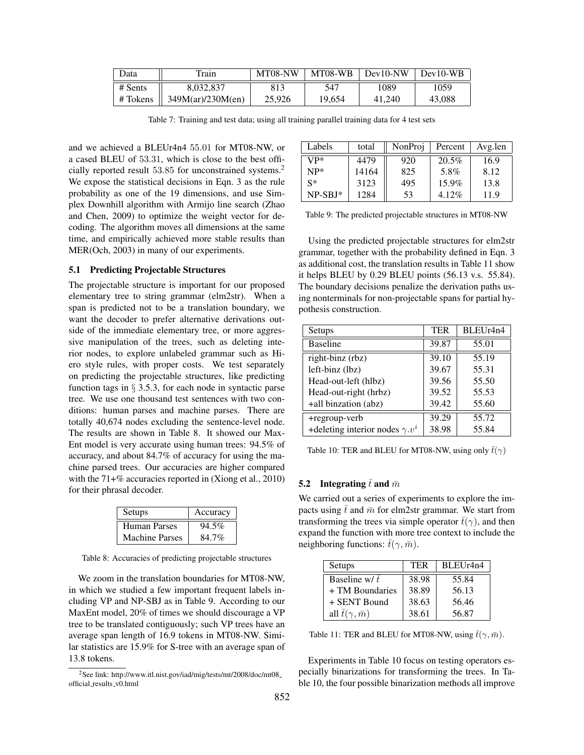| Data     | Train             | MT08-NW | MT08-WB | $Dev10-NW$ | $Dev10-WB$ |
|----------|-------------------|---------|---------|------------|------------|
| # Sents  | 8,032,837         | 813     | 547     | 1089       | 1059       |
| # Tokens | 349M(ar)/230M(en) | 25,926  | 19,654  | 41.240     | 43,088     |

Table 7: Training and test data; using all training parallel training data for 4 test sets

and we achieved a BLEUr4n4 55.01 for MT08-NW, or a cased BLEU of 53.31, which is close to the best officially reported result 53.85 for unconstrained systems.<sup>2</sup> We expose the statistical decisions in Eqn. 3 as the rule probability as one of the 19 dimensions, and use Simplex Downhill algorithm with Armijo line search (Zhao and Chen, 2009) to optimize the weight vector for decoding. The algorithm moves all dimensions at the same time, and empirically achieved more stable results than MER(Och, 2003) in many of our experiments.

### 5.1 Predicting Projectable Structures

The projectable structure is important for our proposed elementary tree to string grammar (elm2str). When a span is predicted not to be a translation boundary, we want the decoder to prefer alternative derivations outside of the immediate elementary tree, or more aggressive manipulation of the trees, such as deleting interior nodes, to explore unlabeled grammar such as Hiero style rules, with proper costs. We test separately on predicting the projectable structures, like predicting function tags in  $\S$  3.5.3, for each node in syntactic parse tree. We use one thousand test sentences with two conditions: human parses and machine parses. There are totally 40,674 nodes excluding the sentence-level node. The results are shown in Table 8. It showed our Max-Ent model is very accurate using human trees: 94.5% of accuracy, and about 84.7% of accuracy for using the machine parsed trees. Our accuracies are higher compared with the 71+% accuracies reported in (Xiong et al., 2010) for their phrasal decoder.

| Setups                | Accuracy |
|-----------------------|----------|
| Human Parses          | 94.5%    |
| <b>Machine Parses</b> | 84.7%    |

Table 8: Accuracies of predicting projectable structures

We zoom in the translation boundaries for MT08-NW, in which we studied a few important frequent labels including VP and NP-SBJ as in Table 9. According to our MaxEnt model, 20% of times we should discourage a VP tree to be translated contiguously; such VP trees have an average span length of 16.9 tokens in MT08-NW. Similar statistics are 15.9% for S-tree with an average span of 13.8 tokens.

| Labels    | total | NonProj | Percent  | Avg.len |
|-----------|-------|---------|----------|---------|
| $VP^*$    | 4479  | 920     | 20.5%    | 16.9    |
| $NP^*$    | 14164 | 825     | 5.8%     | 8.12    |
| $S^*$     | 3123  | 495     | $15.9\%$ | 13.8    |
| $NP-SBJ*$ | 1284  | 53      | $4.12\%$ | 11.9    |

Table 9: The predicted projectable structures in MT08-NW

Using the predicted projectable structures for elm2str grammar, together with the probability defined in Eqn. 3 as additional cost, the translation results in Table 11 show it helps BLEU by 0.29 BLEU points (56.13 v.s. 55.84). The boundary decisions penalize the derivation paths using nonterminals for non-projectable spans for partial hypothesis construction.

| Setups                                | <b>TER</b> | BLEUr4n4 |
|---------------------------------------|------------|----------|
| <b>Baseline</b>                       | 39.87      | 55.01    |
| right-binz (rbz)                      | 39.10      | 55.19    |
| left-binz (lbz)                       | 39.67      | 55.31    |
| Head-out-left (hlbz)                  | 39.56      | 55.50    |
| Head-out-right (hrbz)                 | 39.52      | 55.53    |
| +all binzation (abz)                  | 39.42      | 55.60    |
| +regroup-verb                         | 39.29      | 55.72    |
| +deleting interior nodes $\gamma v^i$ | 38.98      | 55.84    |

Table 10: TER and BLEU for MT08-NW, using only  $\bar{t}(\gamma)$ 

#### 5.2 Integrating  $\bar{t}$  and  $\bar{m}$

We carried out a series of experiments to explore the impacts using  $\bar{t}$  and  $\bar{m}$  for elm2str grammar. We start from transforming the trees via simple operator  $\bar{t}(\gamma)$ , and then expand the function with more tree context to include the neighboring functions:  $\bar{t}(\gamma, \bar{m})$ .

| Setups                         | TER   | BLEUr4n4 |
|--------------------------------|-------|----------|
| Baseline w/ $\bar{t}$          | 38.98 | 55.84    |
| + TM Boundaries                | 38.89 | 56.13    |
| + SENT Bound                   | 38.63 | 56.46    |
| all $\bar{t}(\gamma, \bar{m})$ | 38.61 | 56.87    |

Table 11: TER and BLEU for MT08-NW, using  $\bar{t}(\gamma, \bar{m})$ .

Experiments in Table 10 focus on testing operators especially binarizations for transforming the trees. In Table 10, the four possible binarization methods all improve

<sup>2</sup>See link: http://www.itl.nist.gov/iad/mig/tests/mt/2008/doc/mt08 official results v0.html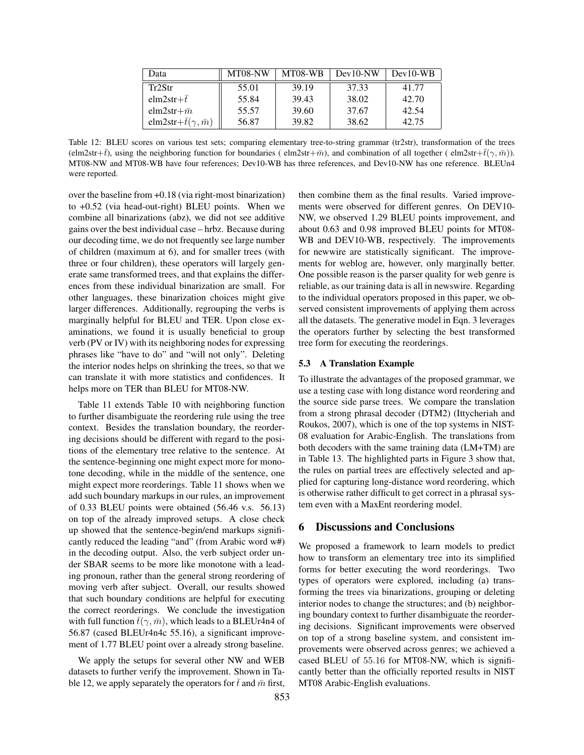| Data                                | MT08-NW | MT08-WB | $Dev10-NW$ | $Dev10-WB$ |
|-------------------------------------|---------|---------|------------|------------|
| Tr2Str                              | 55.01   | 39.19   | 37.33      | 41.77      |
| $elm2str+t$                         | 55.84   | 39.43   | 38.02      | 42.70      |
| elm2str+ $\bar{m}$                  | 55.57   | 39.60   | 37.67      | 42.54      |
| elm2str+ $\bar{t}(\gamma, \bar{m})$ | 56.87   | 39.82   | 38.62      | 42.75      |

Table 12: BLEU scores on various test sets; comparing elementary tree-to-string grammar (tr2str), transformation of the trees (elm2str+ $\bar{t}$ ), using the neighboring function for boundaries (elm2str+ $\bar{m}$ ), and combination of all together (elm2str+ $\bar{t}(\gamma, \bar{m})$ ). MT08-NW and MT08-WB have four references; Dev10-WB has three references, and Dev10-NW has one reference. BLEUn4 were reported.

over the baseline from +0.18 (via right-most binarization) to +0.52 (via head-out-right) BLEU points. When we combine all binarizations (abz), we did not see additive gains over the best individual case – hrbz. Because during our decoding time, we do not frequently see large number of children (maximum at 6), and for smaller trees (with three or four children), these operators will largely generate same transformed trees, and that explains the differences from these individual binarization are small. For other languages, these binarization choices might give larger differences. Additionally, regrouping the verbs is marginally helpful for BLEU and TER. Upon close examinations, we found it is usually beneficial to group verb (PV or IV) with its neighboring nodes for expressing phrases like "have to do" and "will not only". Deleting the interior nodes helps on shrinking the trees, so that we can translate it with more statistics and confidences. It helps more on TER than BLEU for MT08-NW.

Table 11 extends Table 10 with neighboring function to further disambiguate the reordering rule using the tree context. Besides the translation boundary, the reordering decisions should be different with regard to the positions of the elementary tree relative to the sentence. At the sentence-beginning one might expect more for monotone decoding, while in the middle of the sentence, one might expect more reorderings. Table 11 shows when we add such boundary markups in our rules, an improvement of 0.33 BLEU points were obtained (56.46 v.s. 56.13) on top of the already improved setups. A close check up showed that the sentence-begin/end markups significantly reduced the leading "and" (from Arabic word w#) in the decoding output. Also, the verb subject order under SBAR seems to be more like monotone with a leading pronoun, rather than the general strong reordering of moving verb after subject. Overall, our results showed that such boundary conditions are helpful for executing the correct reorderings. We conclude the investigation with full function  $\bar{t}(\gamma, \bar{m})$ , which leads to a BLEUr4n4 of 56.87 (cased BLEUr4n4c 55.16), a significant improvement of 1.77 BLEU point over a already strong baseline.

We apply the setups for several other NW and WEB datasets to further verify the improvement. Shown in Table 12, we apply separately the operators for  $\bar{t}$  and  $\bar{m}$  first,

then combine them as the final results. Varied improvements were observed for different genres. On DEV10- NW, we observed 1.29 BLEU points improvement, and about 0.63 and 0.98 improved BLEU points for MT08- WB and DEV10-WB, respectively. The improvements for newwire are statistically significant. The improvements for weblog are, however, only marginally better. One possible reason is the parser quality for web genre is reliable, as our training data is all in newswire. Regarding to the individual operators proposed in this paper, we observed consistent improvements of applying them across all the datasets. The generative model in Eqn. 3 leverages the operators further by selecting the best transformed tree form for executing the reorderings.

### 5.3 A Translation Example

To illustrate the advantages of the proposed grammar, we use a testing case with long distance word reordering and the source side parse trees. We compare the translation from a strong phrasal decoder (DTM2) (Ittycheriah and Roukos, 2007), which is one of the top systems in NIST-08 evaluation for Arabic-English. The translations from both decoders with the same training data (LM+TM) are in Table 13. The highlighted parts in Figure 3 show that, the rules on partial trees are effectively selected and applied for capturing long-distance word reordering, which is otherwise rather difficult to get correct in a phrasal system even with a MaxEnt reordering model.

## 6 Discussions and Conclusions

We proposed a framework to learn models to predict how to transform an elementary tree into its simplified forms for better executing the word reorderings. Two types of operators were explored, including (a) transforming the trees via binarizations, grouping or deleting interior nodes to change the structures; and (b) neighboring boundary context to further disambiguate the reordering decisions. Significant improvements were observed on top of a strong baseline system, and consistent improvements were observed across genres; we achieved a cased BLEU of 55.16 for MT08-NW, which is significantly better than the officially reported results in NIST MT08 Arabic-English evaluations.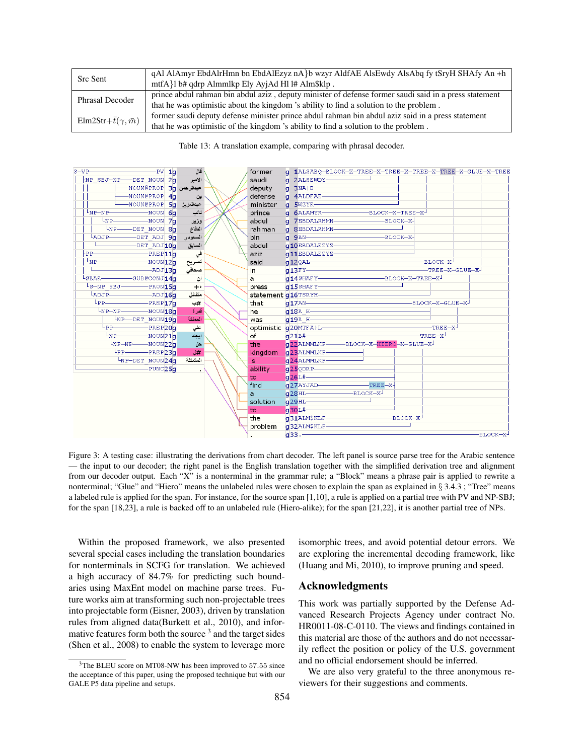| <b>Src Sent</b>                    | qAl AlAmyr EbdAlrHmn bn EbdAlEzyz nA}b wzyr AldfAE AlsEwdy AlsAbq fy tSryH SHAfy An +h                |
|------------------------------------|-------------------------------------------------------------------------------------------------------|
|                                    | mtfA}l b# qdrp Almmlkp Ely AyjAd Hl l# Alm\$klp.                                                      |
| <b>Phrasal Decoder</b>             | prince abdul rahman bin abdul aziz, deputy minister of defense former saudi said in a press statement |
|                                    | that he was optimistic about the kingdom 's ability to find a solution to the problem.                |
| Elm2Str+ $\bar{t}(\gamma,\bar{m})$ | former saudi deputy defense minister prince abdul rahman bin abdul aziz said in a press statement     |
|                                    | that he was optimistic of the kingdom 's ability to find a solution to the problem.                   |

Table 13: A translation example, comparing with phrasal decoder.

![](_page_8_Figure_2.jpeg)

Figure 3: A testing case: illustrating the derivations from chart decoder. The left panel is source parse tree for the Arabic sentence — the input to our decoder; the right panel is the English translation together with the simplified derivation tree and alignment from our decoder output. Each "X" is a nonterminal in the grammar rule; a "Block" means a phrase pair is applied to rewrite a nonterminal; "Glue" and "Hiero" means the unlabeled rules were chosen to explain the span as explained in § 3.4.3 ; "Tree" means a labeled rule is applied for the span. For instance, for the source span [1,10], a rule is applied on a partial tree with PV and NP-SBJ; for the span [18,23], a rule is backed off to an unlabeled rule (Hiero-alike); for the span [21,22], it is another partial tree of NPs.

Within the proposed framework, we also presented several special cases including the translation boundaries for nonterminals in SCFG for translation. We achieved a high accuracy of 84.7% for predicting such boundaries using MaxEnt model on machine parse trees. Future works aim at transforming such non-projectable trees into projectable form (Eisner, 2003), driven by translation rules from aligned data(Burkett et al., 2010), and informative features form both the source  $3$  and the target sides (Shen et al., 2008) to enable the system to leverage more

isomorphic trees, and avoid potential detour errors. We are exploring the incremental decoding framework, like (Huang and Mi, 2010), to improve pruning and speed.

## Acknowledgments

This work was partially supported by the Defense Advanced Research Projects Agency under contract No. HR0011-08-C-0110. The views and findings contained in this material are those of the authors and do not necessarily reflect the position or policy of the U.S. government and no official endorsement should be inferred.

We are also very grateful to the three anonymous reviewers for their suggestions and comments.

<sup>&</sup>lt;sup>3</sup>The BLEU score on MT08-NW has been improved to 57.55 since the acceptance of this paper, using the proposed technique but with our GALE P5 data pipeline and setups.